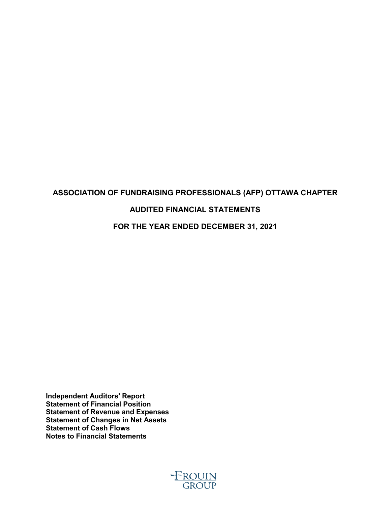# **ASSOCIATION OF FUNDRAISING PROFESSIONALS (AFP) OTTAWA CHAPTER AUDITED FINANCIAL STATEMENTS**

**FOR THE YEAR ENDED DECEMBER 31, 2021**

**Independent Auditors' Report Statement of Financial Position Statement of Revenue and Expenses Statement of Changes in Net Assets Statement of Cash Flows Notes to Financial Statements**

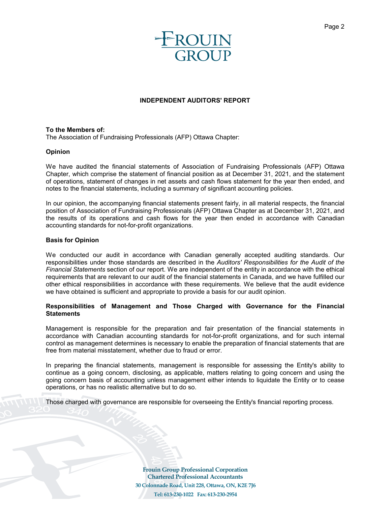

#### **INDEPENDENT AUDITORS' REPORT**

#### **To the Members of:**

The Association of Fundraising Professionals (AFP) Ottawa Chapter:

#### **Opinion**

We have audited the financial statements of Association of Fundraising Professionals (AFP) Ottawa Chapter, which comprise the statement of financial position as at December 31, 2021, and the statement of operations, statement of changes in net assets and cash flows statement for the year then ended, and notes to the financial statements, including a summary of significant accounting policies.

In our opinion, the accompanying financial statements present fairly, in all material respects, the financial position of Association of Fundraising Professionals (AFP) Ottawa Chapter as at December 31, 2021, and the results of its operations and cash flows for the year then ended in accordance with Canadian accounting standards for not-for-profit organizations.

#### **Basis for Opinion**

We conducted our audit in accordance with Canadian generally accepted auditing standards. Our responsibilities under those standards are described in the *Auditors' Responsibilities for the Audit of the Financial Statements* section of our report. We are independent of the entity in accordance with the ethical requirements that are relevant to our audit of the financial statements in Canada, and we have fulfilled our other ethical responsibilities in accordance with these requirements. We believe that the audit evidence we have obtained is sufficient and appropriate to provide a basis for our audit opinion.

#### **Responsibilities of Management and Those Charged with Governance for the Financial Statements**

Management is responsible for the preparation and fair presentation of the financial statements in accordance with Canadian accounting standards for not-for-profit organizations, and for such internal control as management determines is necessary to enable the preparation of financial statements that are free from material misstatement, whether due to fraud or error.

In preparing the financial statements, management is responsible for assessing the Entity's ability to continue as a going concern, disclosing, as applicable, matters relating to going concern and using the going concern basis of accounting unless management either intends to liquidate the Entity or to cease operations, or has no realistic alternative but to do so.

Those charged with governance are responsible for overseeing the Entity's financial reporting process.

**Frouin Group Professional Corporation Chartered Professional Accountants 30 Colonnade Road, Unit 228, Ottawa, ON, K2E 7J6 Tel: 613-230-1022 Fax: 613-230-2954**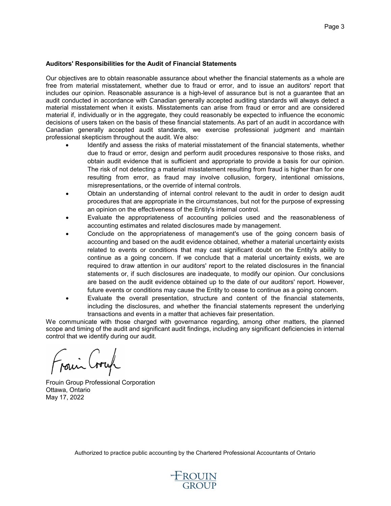#### **Auditors' Responsibilities for the Audit of Financial Statements**

Our objectives are to obtain reasonable assurance about whether the financial statements as a whole are free from material misstatement, whether due to fraud or error, and to issue an auditors' report that includes our opinion. Reasonable assurance is a high-level of assurance but is not a guarantee that an audit conducted in accordance with Canadian generally accepted auditing standards will always detect a material misstatement when it exists. Misstatements can arise from fraud or error and are considered material if, individually or in the aggregate, they could reasonably be expected to influence the economic decisions of users taken on the basis of these financial statements. As part of an audit in accordance with Canadian generally accepted audit standards, we exercise professional judgment and maintain professional skepticism throughout the audit. We also:

- Identify and assess the risks of material misstatement of the financial statements, whether due to fraud or error, design and perform audit procedures responsive to those risks, and obtain audit evidence that is sufficient and appropriate to provide a basis for our opinion. The risk of not detecting a material misstatement resulting from fraud is higher than for one resulting from error, as fraud may involve collusion, forgery, intentional omissions, misrepresentations, or the override of internal controls.
- Obtain an understanding of internal control relevant to the audit in order to design audit procedures that are appropriate in the circumstances, but not for the purpose of expressing an opinion on the effectiveness of the Entity's internal control.
- Evaluate the appropriateness of accounting policies used and the reasonableness of accounting estimates and related disclosures made by management.
- Conclude on the appropriateness of management's use of the going concern basis of accounting and based on the audit evidence obtained, whether a material uncertainty exists related to events or conditions that may cast significant doubt on the Entity's ability to continue as a going concern. If we conclude that a material uncertainty exists, we are required to draw attention in our auditors' report to the related disclosures in the financial statements or, if such disclosures are inadequate, to modify our opinion. Our conclusions are based on the audit evidence obtained up to the date of our auditors' report. However, future events or conditions may cause the Entity to cease to continue as a going concern.
- Evaluate the overall presentation, structure and content of the financial statements, including the disclosures, and whether the financial statements represent the underlying transactions and events in a matter that achieves fair presentation.

We communicate with those charged with governance regarding, among other matters, the planned scope and timing of the audit and significant audit findings, including any significant deficiencies in internal control that we identify during our audit.

pour Croup

Frouin Group Professional Corporation Ottawa, Ontario May 17, 2022

Authorized to practice public accounting by the Chartered Professional Accountants of Ontario

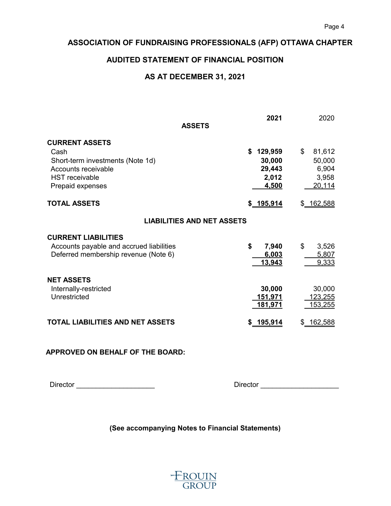# **AUDITED STATEMENT OF FINANCIAL POSITION**

# **AS AT DECEMBER 31, 2021**

| <b>ASSETS</b>                                                                                                                         | 2021                                                | 2020                                               |
|---------------------------------------------------------------------------------------------------------------------------------------|-----------------------------------------------------|----------------------------------------------------|
| <b>CURRENT ASSETS</b><br>Cash<br>Short-term investments (Note 1d)<br>Accounts receivable<br><b>HST</b> receivable<br>Prepaid expenses | 129,959<br>\$<br>30,000<br>29,443<br>2,012<br>4,500 | \$<br>81,612<br>50,000<br>6,904<br>3,958<br>20,114 |
| <b>TOTAL ASSETS</b>                                                                                                                   | \$ 195,914                                          | \$ 162,588                                         |
| <b>LIABILITIES AND NET ASSETS</b>                                                                                                     |                                                     |                                                    |
| <b>CURRENT LIABILITIES</b><br>Accounts payable and accrued liabilities<br>Deferred membership revenue (Note 6)                        | \$<br>7,940<br>6,003<br>13,943                      | \$<br>3,526<br>5,807<br>9,333                      |
| <b>NET ASSETS</b><br>Internally-restricted<br>Unrestricted                                                                            | 30,000<br>151,971<br>181,971                        | 30,000<br>123,255<br>153,255                       |
| <b>TOTAL LIABILITIES AND NET ASSETS</b>                                                                                               | <u>\$195,914</u>                                    | \$ 162,588                                         |

### **APPROVED ON BEHALF OF THE BOARD:**

Director \_\_\_\_\_\_\_\_\_\_\_\_\_\_\_\_\_\_\_\_ Director \_\_\_\_\_\_\_\_\_\_\_\_\_\_\_\_\_\_\_\_

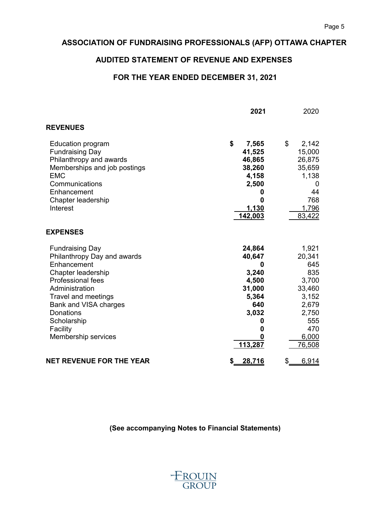### **AUDITED STATEMENT OF REVENUE AND EXPENSES**

# **FOR THE YEAR ENDED DECEMBER 31, 2021**

|                                                                                                                                                                                                                                                                       | 2021                                                                                                 | 2020                                                                                                                |
|-----------------------------------------------------------------------------------------------------------------------------------------------------------------------------------------------------------------------------------------------------------------------|------------------------------------------------------------------------------------------------------|---------------------------------------------------------------------------------------------------------------------|
| <b>REVENUES</b>                                                                                                                                                                                                                                                       |                                                                                                      |                                                                                                                     |
| <b>Education program</b><br><b>Fundraising Day</b><br>Philanthropy and awards<br>Memberships and job postings<br><b>EMC</b><br>Communications<br>Enhancement<br>Chapter leadership<br>Interest                                                                        | \$<br>7,565<br>41,525<br>46,865<br>38,260<br>4,158<br>2,500<br>0<br>0<br><u>1,130</u><br>142,003     | \$<br>2,142<br>15,000<br>26,875<br>35,659<br>1,138<br>0<br>44<br>768<br>1,796<br>83,422                             |
| <b>EXPENSES</b>                                                                                                                                                                                                                                                       |                                                                                                      |                                                                                                                     |
| <b>Fundraising Day</b><br>Philanthropy Day and awards<br>Enhancement<br><b>Chapter leadership</b><br><b>Professional fees</b><br>Administration<br>Travel and meetings<br>Bank and VISA charges<br><b>Donations</b><br>Scholarship<br>Facility<br>Membership services | 24,864<br>40,647<br>0<br>3,240<br>4,500<br>31,000<br>5,364<br>640<br>3,032<br>0<br>0<br>O<br>113,287 | 1,921<br>20,341<br>645<br>835<br>3,700<br>33,460<br>3,152<br>2,679<br>2,750<br>555<br>470<br>6,000<br><u>76,508</u> |
| <b>NET REVENUE FOR THE YEAR</b>                                                                                                                                                                                                                                       | 28,716<br>\$                                                                                         | \$<br>6,914                                                                                                         |

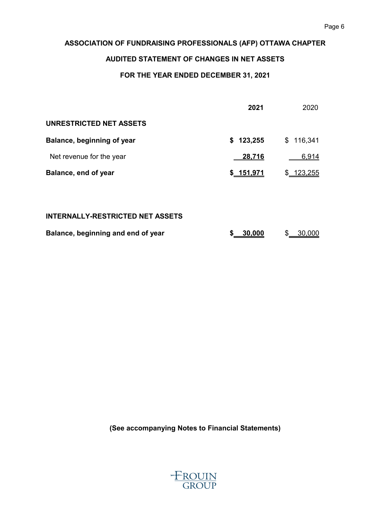# **AUDITED STATEMENT OF CHANGES IN NET ASSETS**

## **FOR THE YEAR ENDED DECEMBER 31, 2021**

|                                         | 2021       | 2020          |
|-----------------------------------------|------------|---------------|
| UNRESTRICTED NET ASSETS                 |            |               |
| Balance, beginning of year              | \$123,255  | 116,341<br>\$ |
| Net revenue for the year                | 28,716     | 6,914         |
| Balance, end of year                    | \$ 151,971 | \$ 123,255    |
|                                         |            |               |
| <b>INTERNALLY-RESTRICTED NET ASSETS</b> |            |               |

| Balance, beginning and end of year | \$30,000 |  | \$30,000 |
|------------------------------------|----------|--|----------|
|------------------------------------|----------|--|----------|

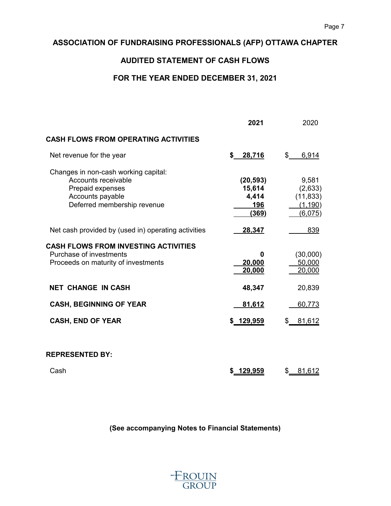# **AUDITED STATEMENT OF CASH FLOWS**

# **FOR THE YEAR ENDED DECEMBER 31, 2021**

|                                                                                                                                    | 2021                                         | 2020                                                 |
|------------------------------------------------------------------------------------------------------------------------------------|----------------------------------------------|------------------------------------------------------|
| <b>CASH FLOWS FROM OPERATING ACTIVITIES</b>                                                                                        |                                              |                                                      |
| Net revenue for the year                                                                                                           | \$<br>28,716                                 | \$<br>6,914                                          |
| Changes in non-cash working capital:<br>Accounts receivable<br>Prepaid expenses<br>Accounts payable<br>Deferred membership revenue | (20, 593)<br>15,614<br>4,414<br>196<br>(369) | 9,581<br>(2,633)<br>(11, 833)<br>(1, 190)<br>(6,075) |
| Net cash provided by (used in) operating activities                                                                                | 28,347                                       | 839                                                  |
| <b>CASH FLOWS FROM INVESTING ACTIVITIES</b><br>Purchase of investments<br>Proceeds on maturity of investments                      | 0<br>20,000<br>20,000                        | (30,000)<br>50,000<br>20,000                         |
| <b>NET CHANGE IN CASH</b>                                                                                                          | 48,347                                       | 20,839                                               |
| <b>CASH, BEGINNING OF YEAR</b>                                                                                                     | 81,612                                       | 60,773                                               |
| <b>CASH, END OF YEAR</b>                                                                                                           | \$ 129,959                                   | 81,612                                               |
| <b>REPRESENTED BY:</b>                                                                                                             |                                              |                                                      |
| Cash                                                                                                                               | <u>129,959</u>                               | 81,612                                               |

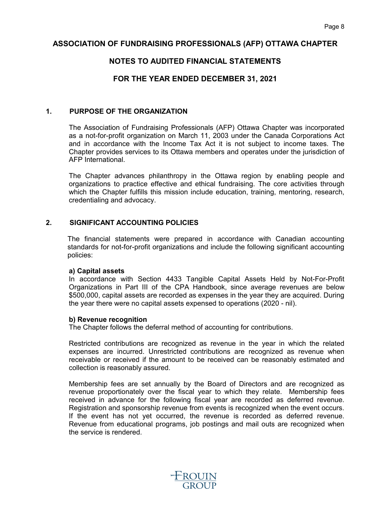# **NOTES TO AUDITED FINANCIAL STATEMENTS**

# **FOR THE YEAR ENDED DECEMBER 31, 2021**

#### **1. PURPOSE OF THE ORGANIZATION**

The Association of Fundraising Professionals (AFP) Ottawa Chapter was incorporated as a not-for-profit organization on March 11, 2003 under the Canada Corporations Act and in accordance with the Income Tax Act it is not subject to income taxes. The Chapter provides services to its Ottawa members and operates under the jurisdiction of AFP International.

The Chapter advances philanthropy in the Ottawa region by enabling people and organizations to practice effective and ethical fundraising. The core activities through which the Chapter fulfills this mission include education, training, mentoring, research, credentialing and advocacy.

### **2. SIGNIFICANT ACCOUNTING POLICIES**

The financial statements were prepared in accordance with Canadian accounting standards for not-for-profit organizations and include the following significant accounting policies:

#### **a) Capital assets**

In accordance with Section 4433 Tangible Capital Assets Held by Not-For-Profit Organizations in Part III of the CPA Handbook, since average revenues are below \$500,000, capital assets are recorded as expenses in the year they are acquired. During the year there were no capital assets expensed to operations (2020 - nil).

#### **b) Revenue recognition**

The Chapter follows the deferral method of accounting for contributions.

Restricted contributions are recognized as revenue in the year in which the related expenses are incurred. Unrestricted contributions are recognized as revenue when receivable or received if the amount to be received can be reasonably estimated and collection is reasonably assured.

Membership fees are set annually by the Board of Directors and are recognized as revenue proportionately over the fiscal year to which they relate. Membership fees received in advance for the following fiscal year are recorded as deferred revenue. Registration and sponsorship revenue from events is recognized when the event occurs. If the event has not yet occurred, the revenue is recorded as deferred revenue. Revenue from educational programs, job postings and mail outs are recognized when the service is rendered.

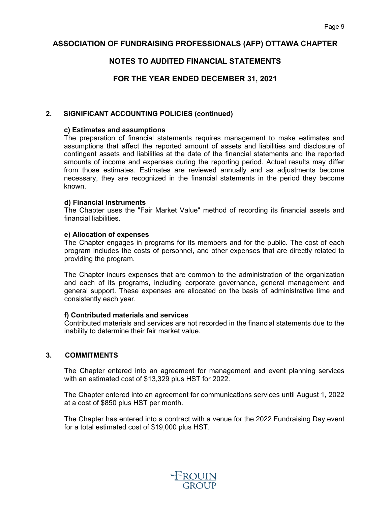# **NOTES TO AUDITED FINANCIAL STATEMENTS**

# **FOR THE YEAR ENDED DECEMBER 31, 2021**

### **2. SIGNIFICANT ACCOUNTING POLICIES (continued)**

### **c) Estimates and assumptions**

The preparation of financial statements requires management to make estimates and assumptions that affect the reported amount of assets and liabilities and disclosure of contingent assets and liabilities at the date of the financial statements and the reported amounts of income and expenses during the reporting period. Actual results may differ from those estimates. Estimates are reviewed annually and as adjustments become necessary, they are recognized in the financial statements in the period they become known.

#### **d) Financial instruments**

The Chapter uses the "Fair Market Value" method of recording its financial assets and financial liabilities.

#### **e) Allocation of expenses**

The Chapter engages in programs for its members and for the public. The cost of each program includes the costs of personnel, and other expenses that are directly related to providing the program.

The Chapter incurs expenses that are common to the administration of the organization and each of its programs, including corporate governance, general management and general support. These expenses are allocated on the basis of administrative time and consistently each year.

#### **f) Contributed materials and services**

Contributed materials and services are not recorded in the financial statements due to the inability to determine their fair market value.

### **3. COMMITMENTS**

The Chapter entered into an agreement for management and event planning services with an estimated cost of \$13,329 plus HST for 2022.

The Chapter entered into an agreement for communications services until August 1, 2022 at a cost of \$850 plus HST per month.

The Chapter has entered into a contract with a venue for the 2022 Fundraising Day event for a total estimated cost of \$19,000 plus HST.

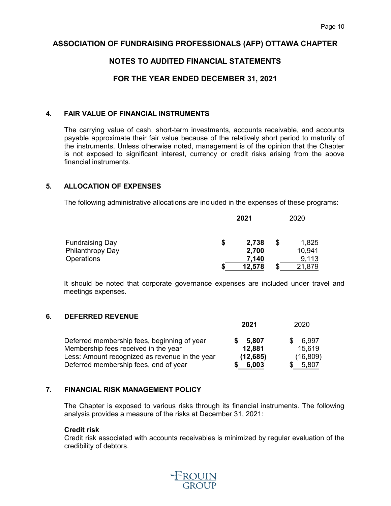# **NOTES TO AUDITED FINANCIAL STATEMENTS**

# **FOR THE YEAR ENDED DECEMBER 31, 2021**

### **4. FAIR VALUE OF FINANCIAL INSTRUMENTS**

The carrying value of cash, short-term investments, accounts receivable, and accounts payable approximate their fair value because of the relatively short period to maturity of the instruments. Unless otherwise noted, management is of the opinion that the Chapter is not exposed to significant interest, currency or credit risks arising from the above financial instruments.

### **5. ALLOCATION OF EXPENSES**

The following administrative allocations are included in the expenses of these programs:

|                                            |    | 2021           | 2020                  |
|--------------------------------------------|----|----------------|-----------------------|
| <b>Fundraising Day</b><br>Philanthropy Day | \$ | 2,738<br>2,700 | \$<br>1,825<br>10,941 |
| <b>Operations</b>                          |    | 7,140          | 9,113                 |
|                                            | S  | 12,578         | 21,879                |

It should be noted that corporate governance expenses are included under travel and meetings expenses.

#### **6. DEFERRED REVENUE**

|                                                | 2021     | 2020      |
|------------------------------------------------|----------|-----------|
| Deferred membership fees, beginning of year    | 5,807    | 6,997     |
| Membership fees received in the year           | 12,881   | 15.619    |
| Less: Amount recognized as revenue in the year | (12,685) | (16, 809) |
| Deferred membership fees, end of year          | 6,003    | 5,807     |

### **7. FINANCIAL RISK MANAGEMENT POLICY**

The Chapter is exposed to various risks through its financial instruments. The following analysis provides a measure of the risks at December 31, 2021:

#### **Credit risk**

Credit risk associated with accounts receivables is minimized by regular evaluation of the credibility of debtors.